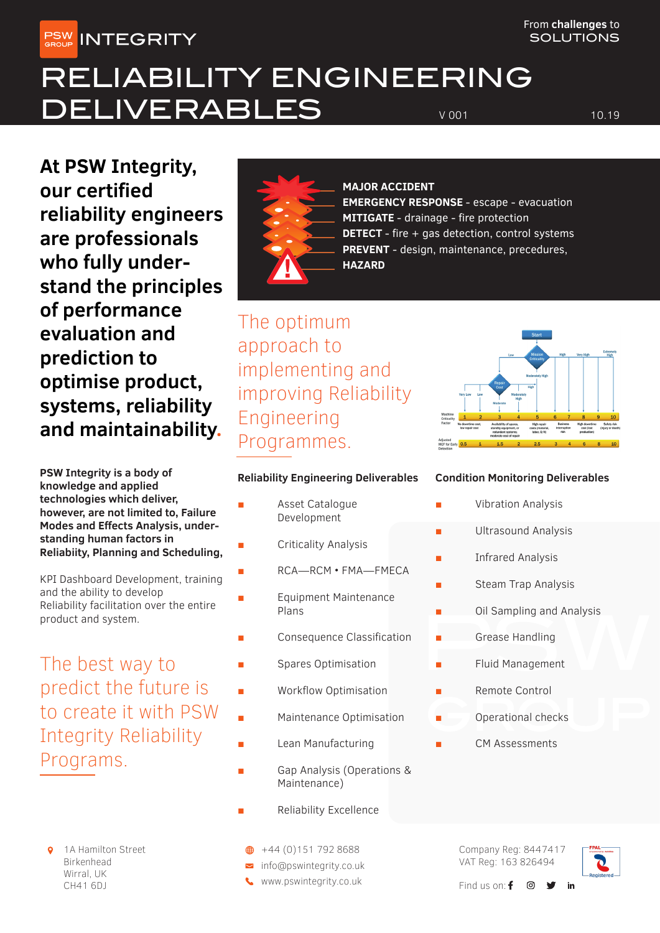**PSW INTEGRITY** 

From **challenges** to **SOLUTIONS** 

# RELIABILITY ENGINEERING DELIVERABLES VOOT 10.19

**At PSW Integrity, our certified reliability engineers are professionals who fully understand the principles of performance evaluation and prediction to optimise product, systems, reliability and maintainability.**

**PSW Integrity is a body of knowledge and applied technologies which deliver, however, are not limited to, Failure Modes and Effects Analysis, understanding human factors in Reliabiity, Planning and Scheduling,**

KPI Dashboard Development, training and the ability to develop Reliability facilitation over the entire product and system.

The best way to predict the future is to create it with PSW Integrity Reliability Programs.

1A Hamilton Street Birkenhead Wirral, UK CH41 6DJ



## **MAJOR ACCIDENT**

**EMERGENCY RESPONSE** - escape - evacuation **MITIGATE** - drainage - fire protection **DETECT** - fire + gas detection, control systems **PREVENT** - design, maintenance, precedures, **HAZARD**

The optimum approach to implementing and improving Reliability Engineering Programmes.

## **Reliability Engineering Deliverables**

- Asset Catalogue Development
- Criticality Analysis
	- RCA-RCM FMA-FMECA
	- **Equipment Maintenance** Plans
	- Consequence Classification
	- Spares Optimisation
	- Workflow Optimisation
	- Maintenance Optimisation
	- **Lean Manufacturing**
- Gap Analysis (Operations & Maintenance)
- **Reliability Excellence**
- $\bigoplus$  +44 (0)151 792 8688
- nfo@pswintegrity.co.uk
- www.pswintegrity.co.uk



## **Condition Monitoring Deliverables**

- **Vibration Analysis**
- Ultrasound Analysis
- **Infrared Analysis**
- Steam Trap Analysis
- Oil Sampling and Analysis
- Grease Handling
- Fluid Management
- Remote Control
	- Operational checks
	- CM Assessments

Company Reg: 8447417 VAT Reg: 163 826494



in

Find us on:  $f \circ$